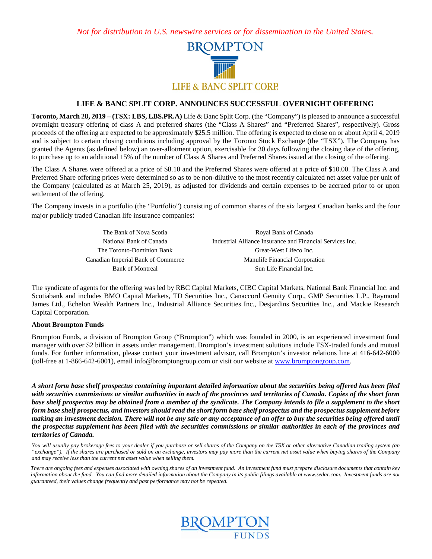*Not for distribution to U.S. newswire services or for dissemination in the United States.*



## **LIFE & BANC SPLIT CORP. ANNOUNCES SUCCESSFUL OVERNIGHT OFFERING**

**Toronto, March 28, 2019 – (TSX: LBS, LBS.PR.A)** Life & Banc Split Corp. (the "Company") is pleased to announce a successful overnight treasury offering of class A and preferred shares (the "Class A Shares" and "Preferred Shares", respectively). Gross proceeds of the offering are expected to be approximately \$25.5 million. The offering is expected to close on or about April 4, 2019 and is subject to certain closing conditions including approval by the Toronto Stock Exchange (the "TSX"). The Company has granted the Agents (as defined below) an over-allotment option, exercisable for 30 days following the closing date of the offering, to purchase up to an additional 15% of the number of Class A Shares and Preferred Shares issued at the closing of the offering.

The Class A Shares were offered at a price of \$8.10 and the Preferred Shares were offered at a price of \$10.00. The Class A and Preferred Share offering prices were determined so as to be non-dilutive to the most recently calculated net asset value per unit of the Company (calculated as at March 25, 2019), as adjusted for dividends and certain expenses to be accrued prior to or upon settlement of the offering.

The Company invests in a portfolio (the "Portfolio") consisting of common shares of the six largest Canadian banks and the four major publicly traded Canadian life insurance companies:

> The Bank of Nova Scotia Royal Bank of Canada National Bank of Canada **Industrial Alliance Insurance and Financial Services Inc.** The Toronto-Dominion Bank Great-West Lifeco Inc. Canadian Imperial Bank of Commerce Manulife Financial Corporation Bank of Montreal Sun Life Financial Inc.

The syndicate of agents for the offering was led by RBC Capital Markets, CIBC Capital Markets, National Bank Financial Inc. and Scotiabank and includes BMO Capital Markets, TD Securities Inc., Canaccord Genuity Corp., GMP Securities L.P., Raymond James Ltd., Echelon Wealth Partners Inc., Industrial Alliance Securities Inc., Desjardins Securities Inc., and Mackie Research Capital Corporation.

## **About Brompton Funds**

Brompton Funds, a division of Brompton Group ("Brompton") which was founded in 2000, is an experienced investment fund manager with over \$2 billion in assets under management. Brompton's investment solutions include TSX-traded funds and mutual funds. For further information, please contact your investment advisor, call Brompton's investor relations line at 416-642-6000 (toll-free at 1-866-642-6001), email info@bromptongroup.com or visit our website a[t www.bromptongroup.com.](http://www.bromptongroup.com/)

*A short form base shelf prospectus containing important detailed information about the securities being offered has been filed with securities commissions or similar authorities in each of the provinces and territories of Canada. Copies of the short form base shelf prospectus may be obtained from a member of the syndicate. The Company intends to file a supplement to the short form base shelf prospectus, and investors should read the short form base shelf prospectus and the prospectus supplement before making an investment decision. There will not be any sale or any acceptance of an offer to buy the securities being offered until the prospectus supplement has been filed with the securities commissions or similar authorities in each of the provinces and territories of Canada.*

You will usually pay brokerage fees to your dealer if you purchase or sell shares of the Company on the TSX or other alternative Canadian trading system (an *"exchange"). If the shares are purchased or sold on an exchange, investors may pay more than the current net asset value when buying shares of the Company and may receive less than the current net asset value when selling them.*

*There are ongoing fees and expenses associated with owning shares of an investment fund. An investment fund must prepare disclosure documents that contain key information about the fund. You can find more detailed information about the Company in its public filings available at www.sedar.com. Investment funds are not guaranteed, their values change frequently and past performance may not be repeated.*